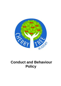

# **Conduct and Behaviour Policy**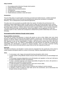#### **Policy Contents**

- 1. Encouraging positive behaviour through school systems
- 2. Positive behaviour strategies
- 3. Routines and school day procedures
- 4. Consequences
- 5. Our approach to incidents of bullying
- 6. Positive behaviour activities to raise self esteem

#### **Introduction**

The aim of this policy is to assist pupils in becoming successful and resilient learners, confident individuals and responsible citizens of the community by developing and making clear boundaries of acceptable behaviour. This is underpinned by trauma informed approaches.

The policy aims to be as proactive as possible rather than reactive. We believe first and foremost in the importance of good relationships to foster our pupil's sense of safety and security through nurture, warmth and empathy. This is also underpinned by actively teaching and rewarding good behaviour rather than simply punishing negative behaviour. Children need to know what is expected of them in terms of positive behaviour. This will be achieved through strong leadership, shared responsibility, and the application of a clear and consistent system of rules, routines and consequences underpinned by positive relationships and a sense of belonging.

#### **Encouraging positive behaviour through school systems**

#### **Responsibilities introduction:**

The Policy for Conduct and Behaviour is shared with parents as soon as their children start main school because we believe that we should all work together towards a common aim. This will ensure consistency of approach so that the children understand fully that which is expected of them. Our Home School Agreement (see Appendix A) sets out the responsibilities of children, staff and parents towards each other and all are expected to adhere to this. The children's responsibilities are listed because we would like to develop their responsibility and self-discipline as opposed to imposed discipline. Only by all those concerned working together, can the school community become a place where all can feel respected and flourish.

#### **Rationale:**

The policy for behaviour and discipline in school cannot be separated from the overall aims of the school to create a positive atmosphere based on a sense of community, collective responsibility and shared values.

#### **Aims:**

- To encourage a calm, happy and purposeful learning atmosphere within school.
- To foster positive caring attitudes towards everyone where all achievements are acknowledged and valued.
- To encourage increasing independence and self-discipline and regulation so that each child learns to accept responsibility for his/her own behaviour.
- To have a consistent approach and shared responsibility throughout the school, with parental cooperation and involvement wherever possible.
- To make boundaries of acceptable behaviour clear and to ensure safety.
- To raise awareness about appropriate behaviour.
- To help staff and parents to have a sense of direction and a feeling of common purpose.
- To develop a sense of respect for each other and for the environment, and to demonstrate this through courtesy and good manners.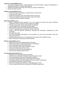#### **Governors' responsibilities are to:**

- To make and regularly review, a written statement of general principles to guide the Headteacher in determining measures to promote good behaviour.
- Uphold the principles and practice of the Policy for Conduct and Behaviour.
- Review the policy annually.

#### **Children's responsibilities are to:**

- Work to the best of their abilities, and allow others to do the same.
- Treat others with respect.
- Follow the instructions of the school staff 'first time, every time'.
- Take care of property and the environment in and out of school.
- Co-operate with other children and adults.

#### **Staff responsibilities are to:**

- Adopt a relationship based approach to our work, taking into account how adverse childhood experiences (ACE) can cause a trauma response in children.
- Prioritise and promote positive mental health and wellbeing.
- Treat all children fairly, consistently and with respect.
- Raise children's self-esteem and develop their full potential.
- Provide a challenging and interesting and relevant curriculum.
- Create a safe and pleasant environment, physically and emotionally, underpinned by clear boundaries.
- Be a good role model.
- Form good relationship with parents so that all children can see that the key adults in their lives share a common aim.
- Recognise that each person is an individual and to be aware of their additional needs.
- Offer a framework for personal and social education.

#### **Parents responsibilities are to:**

- Support the school in the implementation of this policy.
- Make children aware of appropriate behaviour in all situations.
- Encourage independence and self-discipline.
- Show an interest in all that their child does in school.
- Foster good relationships with the school.
- Be aware of the school rules and expectations.
- Foster positive attitudes towards school.

#### **To encourage good behaviour we:**

- Recognise and reward the behaviour we expect.
- Make clear our expectations of good behaviour through the school.
- Use the language of choice when talking about behaviour.
- Discourage unsociable behaviour by promoting mutual respect.
- Encourage children to take responsibility for their own actions and behaviour.
- Set standards of behaviour through example.
- Reward and celebrate good behaviour, individually and as a class.
- Teach a positive behaviour ethos through the PHSE/RSE programmes.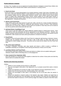#### **Positive behaviour strategies**

At Cherry Tree Academy we use an agreed set of positive behaviour strategies to reward those children who also behave well, and to motivate those children whose behaviour is causing concern.

#### **1. Good to be Green**

Good to be Green is a visual representation of our positive behaviour system. Each class in Reception, KS1 and 2 has a chart with individual children's names attached to a green card. Staff around school can praise and recognise children who are making green behaviour choices. Some children around school require visuals to support their understanding of green choices. Where children do not make green choices, a yellow warning card will be issued. Further warnings are issued if necessary which may result in a red card. See Appendix B – Rewards and Sanctions.

#### **2. Stickers and Proud Points**

These will be given by the class teacher for good work, effort, and also for a range of positive behaviours. Children are awarded Proud Points for making the right behaviour choices at school. These behaviour choices link to our school rules. Children's Proud Points are recorded on Class Dojo and can be viewed at any time by parents and be discussed with their child.

#### **3. Individual Sticker Cards/Report Card**

These may be used with children who require additional, targeted support in making green choices. Each target will be small and achievable and will be appropriate for the individual concerned. Rewards may include choosing a special activity for 10 minutes, stickers and stamps from both the class teacher and the headteacher. Both rewards and charts will be personalised to motivate the individual.

#### **4. Proud Points**

All adults in school will award children with Proud Points for making the right learning or behaviour choices. Children who are awarded Proud Points will keep a tally of their points on Class Dojo ready to be exchanged for uniform badges and prizes. The prizes can be chosen by the children from the Proud Point shop.

#### **5. Star of the week Certificates**

In Friday's Celebration Assembly, each class teacher will choose a child to receive a certificate in Celebration Assembly as a recognition of their learning and behaviour choices over the week.

#### **6. Lunchtime Stickers and Proud Points**

 The lunchtime supervisors will give Proud Points and stickers to children who are spotted making good behaviour choices, either in the dining room or on the playground.

#### **7. Class rewards (From September 2022)**

Each class decides on a reward and works together to determine the number of class points and what they need to work on to achieve the reward.

#### **Routines and school day procedures**

Children

- Children to move sensibly around school e.g. walk quietly.
- They are encouraged to take pride in their appearance e.g. no jumpers around their waists or sleeves rolled up.
- Children are expected to sit correctly at a table, as per National Curriculum requirements (Year 1).
- Children leave the learning areas tidy, including putting chairs under tables.
- Children are encouraged to drink water to aid thinking, but not at the point when the teacher is teaching.
- Children are expected to respond quickly to the teacher's stop signal. Children are taught that on hearing the stop signal they must stop talking, draw their attention to the adult who has stopped them and free their hands of resources. In EYFS and Key Stage One children as asked to show their hands.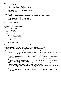#### **Staff**

- Wear identification badges.
- Ensure children follow routines at all times.
- Encourage and reward good behaviour choices.
- Promote early intervention to halt negative behaviour.
- Have clear consequences for the wrong behaviour choices.
- Be fair to all pupils.

Parents/visitors to school

- Share the school's commitment to safeguarding and promoting the welfare of children.
- To wear identification badges/stickers at all times.
- Abide by the school's equality commitments.
- Uphold and hold the ethos and values of the school.

#### **Procedures and Protocols**

Lunchtime and playtime management

| Times                    |             |
|--------------------------|-------------|
| FS -                     | 11.50-13:00 |
| KS1 & LKS2 - 12.00-13.00 |             |
| <b>UKS2 -</b>            | 12.30-13.15 |

Lunchtime rules are the same as our school rules.

- We listen, we don't interrupt.
- We speak to others politely.
- We are kind and helpful.
- We are honest.
- We are gentle.
- We look after property.

**Be polite** - in the dining hall and in the playground. **Do as adults ask** - by standing still when the whistle blows then walking to the dining room/classrooms **Think safe, keep safe** - by looking after ourselves and being considerate to others **Look after our school** - by looking after the play equipment and school grounds

**Try your best** - to make the right choices and have a safe and happy lunchtime

- 1) EYFS and KS1 staff must accompany their children to the dining room to ensure a calm and pleasant start to lunchtime.
- 2) Lunchtime staff will be aware of the school policy on behaviour and discipline, particularly with respect to the positive behaviour strategies. They will also be clear on the range of strategies and sanctions to use.
- 3) At the end of playtime and lunchtime the Lunchtime Supervisors will blow the whistle to signal the children to stand still. On the second whistle the children will walk to line up on the playground where the teacher will be waiting for them.
- 4) The members of staff on playground duty will be outside promptly at the start of playtime, before children. All support staff will be on playground duty every morning.
- 5) At the start of each half term the class teacher will take the children outside and remind them of the rules and code of behaviour relating to the playground/the field.
- 6) Toys and games are provided for lunchtime use and Key Stage Two children have a football and several basketballs. Adults are expected to model and interact with children to demonstrate positive play skills.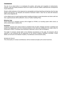#### **Consequences**

The aim of our school ethos is to emphasise the positive, with praise and recognition of achievements. However, clear and simple procedures need to be in place so that the children understand the consequences of poor behaviours.

Should a child's behaviour in the classroom be unacceptable and disrupt teaching and learning, then the class teacher will intervene. Our Rewards and Sanctions framework makes it clear how we deal with behaviour within school (Appendix B).

In the unlikely event of a pupil requiring positive handling techniques to keep themselves and others safe from harm, agreed protocols will be adhered to. See our Positive Handling Policy.

#### **Behaviour logs**

Severe behaviour or repeated concerns will be logged on CPOMS, our recording system within school, as well as actions taken to address this.

#### **Exclusions**

Temporary exclusion from school would be considered when all other strategies had been considered and found to be inappropriate and if the continued presence of the child was considered to be unsafe, either for him/herself or others, or exclusion was necessary to deal with a crisis or with an emergency.

The length of exclusion should relate to the individual circumstances of the pupil. All exclusions will be reported to, and conducted with the agreement of, the School's Academy Standards Committee. Further details can be found in the Waterton Academy Trust Behaviour and Exclusions policy.

REVIEW OF POLICY

The school policy on Conduct and Behaviour will be reviewed annually by the school Governors.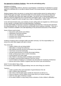# **Our approach to incidents of bullying - Also see the anti-bullying policy**

#### Definitions of bullying

'Bullying is longstanding violence, physical or psychological, conducted by an individual or a group against an individual who is not able to defend himself in the actual situation.' (Roland and Munthe 1993)

'Bullying happens when one person or a group tries to upset another person by saying nasty or hurtful things again and again. Sometimes bullies hit or kick people or force them to hand over money; sometimes they tease them again and again. The person who is being bullied finds it difficult to stop this happening and is worried that it will happen again. It may not be bullying when two people of roughly the same strength have a fight or disagreement.' (Mellor 1997)

In line with discrimination laws, any incidents of name calling which are targeted at a child because of race, gender or sexuality will be recorded following LA guidelines.

It is the responsibility of everyone to prevent it happening and with this in mind we have laid down the following guide lines. We will react firmly and promptly where bullying is identified. There are a range of sanctions available to the staff depending on the perceived seriousness of the situation.

Some of these would include:-

- discussions with parents and children.
- withdrawal of favoured activities.
- referral to the Headteacher.
- exclusion from school during lunch time.
- exclusion from school.

Incidents of bullying will be managed swiftly and taken seriously. Our first responsibility is to ensure the victim feels happier and safe in school.

The school will:-

- support children who are being bullied.
- help bullies to change their behaviour.
- take bullying seriously and find out the facts of any incident.
- meet those concerned individually.
- use peer group pressure to actively discourage bullying.
- break up bully groups where it seems necessary.
- involve parents at an early stage.
- help children to develop positive strategies and assertion.
- be equally concerned about bullying to and from school.
- record incidents of bullying in a consistent way that allows for monitoring of behaviour.
- discuss and involve children in agreed class and school rules and behaviour.

#### WHAT TO DO ABOUT BULLYING

It is everyone's responsibility to prevent bullying, here are some things you could do:-

Teachers:

- create a positive ethos and expectation of good behaviour from all.
- talk to children about behaviour.
- take notice of all that takes place outside the classroom as well as in it.
- show an interest in all the children (even those who try to remain invisible).
- watch for early signs of distress in pupils.
- do not allow children to enjoy being curious onlookers of other children's difficulties.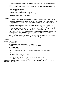- vary the ways in which children are grouped, so that they can understand consistent patterns of collaboration.
- make all children work together in pairs or groups. Use them to teach each other to learn.
- be fair and be seen to be so.
- insist on children telling the truth. Make sure that all facts are checked.
- promote positive praise for good behaviour.
- have a very clear classroom routine. Use the children to help manage the classroom.
- listen carefully and record all incidents.

## Parents:

- It is always a good idea to take an active interest in your child's social life and chat about friends and their activities in and out of school. Make sure you keep up to date with your child's friendships; you may become aware of disagreements or difficulties they are experiencing.
- Watch for signs of distress in your child. There could be an unwillingness to attend school: illnesses such as headaches and stomach aches. Toys or equipment may go missing and your child may request extra pocket money. There are many reasons why your child may be unsettled at school, bullying is always a possibility.
- If you think that your child is being bullied, inform the school immediately and ask for a meeting with the class teacher or phase leader who will deal with the incident, alternatively, you could contact the headteacher.
- Remember dealing with bullying is everyone's responsibility. Allow the school time to investigate the problem; all reports will be investigated urgently.

# Children:

If you are being bullied:-

- tell a responsible adult.
- try not to show that you are upset this is difficult.
- walk with confidence even if you don't feel that way inside.
- try being assertive.
- say no to the bully.
- $\bullet$  if you are different in any way, be proud of it it's good to be an individual.

You can help stop bullying:-

- don't stand by and watch find help.
- show that you and your friends disapprove.
- give sympathy and support to children who may be being bullied.
- be careful about teasing or making personal remarks imagine how you might feel.

If you know of serious bullying, tell a trusted adult. It's not telling tales, the victim may be too scared or lonely to tell.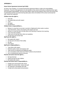# **APPENDIX A**

# **Home School Agreement (revised April 2022)**

At Cherry Tree Academy, our revised home/school agreement follows a rights and responsibilities framework. The aim of the agreement is for all members of the school community to understand their rights and associated responsibilities. We know that children make the best progress when home and school work in partnership and that successful learning takes place when all members of the school community feel safe, valued and respected.

#### **Children have the right to…**

- Feel safe
- Be treated fairly and with respect
- Learn
- Be happy
- Be listened to

#### **Children have a responsibility to…**

- Behave in a way that no one else is worried or frightened by their words or actions
- Treat themselves, others and property with respect and care
- Behave in a way that does not stop others from learning or teachers from teaching
- Learn from their mistakes
- Listen and not interrupt when others are speaking
- Be their best and do their best

### **Staff have the right to…**

- Be treated with respect
- Do their job to the best of their ability
- Be safe
- Feel valued

# **Staff have a responsibility to…**

- Treat others with respect
- Motivate pupils to learn and progress well
- Take account of individual and additional needs
- Act in accordance with school and TRUST policies and procedures
- Act in a professional manner at all times

# **Parents and carers have the right to…**

- Be kept informed
- Expect the best for their children
- Be treated with respect

#### **Parents and carers have a responsibility to…**

- Engage and communicate with school
- Support the school ethos, values and staff
- Be respectful in all dealings with staff
- Comply with school policy and procedure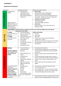# **APPENDIX B**

# **Rewards and Sanctions**

| Card Colour      |                                                                                                                                                                                               | <b>Behavioural Choices</b>                                                                                                                                                                                                                                                                    | Behavioural Impact & Actions                                                                                                                                                                                                                                                                                                                                                                                                                                                                               |  |
|------------------|-----------------------------------------------------------------------------------------------------------------------------------------------------------------------------------------------|-----------------------------------------------------------------------------------------------------------------------------------------------------------------------------------------------------------------------------------------------------------------------------------------------|------------------------------------------------------------------------------------------------------------------------------------------------------------------------------------------------------------------------------------------------------------------------------------------------------------------------------------------------------------------------------------------------------------------------------------------------------------------------------------------------------------|--|
| Good to be GREEN | "It's good to be<br>GREEN"<br>Children begin on<br>GREEN each day and<br>reset after afternoon<br>registration (KS1<br>morning playtime)                                                      | Following clear<br>$\bullet$<br>expectations of the<br>School Rules and the<br>Rights & Responsibilities<br>Framework                                                                                                                                                                         | <b>Main School:</b><br>$\bullet$<br>Reward Stickers (KS1 and Reception)<br>Proud Points (rewards and badges)<br>Sharing successes with other staff/children/home<br>Class points - 'Beads in the Jar' (to a whole class<br>reward) (From September 2022)<br><b>Celebration Assembly:</b><br>$\bullet$<br>"Star of the week"<br>Proud Point badge celebration<br><b>Half Termly:</b><br>٠<br>Children's Choice: "Star of the week" (From<br>September 2022)                                                 |  |
|                  | Stop and Think - Verbal reminder to make green choices and a STOP and THINK Card on the table (if                                                                                             |                                                                                                                                                                                                                                                                                               |                                                                                                                                                                                                                                                                                                                                                                                                                                                                                                            |  |
|                  | appropriate to that child)                                                                                                                                                                    |                                                                                                                                                                                                                                                                                               |                                                                                                                                                                                                                                                                                                                                                                                                                                                                                                            |  |
| $\sf W$ arning   | 1 <sup>st</sup> Amber<br>Issue an amber card<br>(portrait)<br>2 <sup>nd</sup> Amber<br>Turn amber card to<br>landscape                                                                        | Low level disruption<br>$\bullet$<br>Failure to comply with<br>$\bullet$<br>adult directions<br>Inappropriate behaviour<br>that stops learning<br>Name calling<br>$\bullet$<br>Play fighting<br>$\bullet$<br>Hurting others (refusing<br>to apologise)<br>Damaging resources<br>$\bullet$     | <b>Within Class Setting:</b><br>Time out<br>Move seats<br>$\bullet$<br>Reminders<br>$\bullet$<br>Teacher uses '3 steps to positive behaviour<br>$\bullet$<br>management' structure<br>Warning of red card and consequences (2 <sup>nd</sup> Amber)<br>٠<br>Missed playtime minutes to make up for loss of<br>٠<br>learning time                                                                                                                                                                            |  |
| Consequence      | <b>RED Card</b><br><b>Behaviour logged by</b><br><b>Class Teacher at the</b><br>end of the day on<br><b>CPOMS</b>                                                                             | Continued failure to<br>$\bullet$<br>comply with adult<br>directions<br>Defiant behaviour and<br>$\bullet$<br>refusal<br>Leaving without<br>$\bullet$<br>permission<br>Inappropriate language<br>٠<br>Fighting<br>$\bullet$<br>Aggressive swearing<br>Aggressive behaviour<br><b>Bullying</b> | Missed playtime/lunchtime<br>$\bullet$<br>(owed during morning playtime or the following<br>$\bullet$<br>morning playtime if RED Card received during the<br>afternoon)<br>Child to complete 'Repair and Rebuild Sheet' with<br>٠<br>teacher<br>On the day text/Dojo message home to parents -<br>٠<br>request to meet class teacher at the end of the day<br>Teacher shares 'Repair and Rebuild Sheet' with<br>$\bullet$<br>parent<br>Parent made aware that the behaviour will be<br>$\bullet$<br>logged |  |
|                  | Continued red cards<br>(escalation)<br><b>Behaviour logged by</b><br><b>Class Teacher</b><br>and/or Pastoral<br>Team at the end of<br>the day on CPOMS<br>Continued red cards<br>(escalation) | (including Cyber<br>Bullying)<br>Stealing<br>$\bullet$<br>Racism<br>$\bullet$<br>Homophobia<br>Other equality incidents<br>$\bullet$<br>(Forms to be completed by<br>SLT)                                                                                                                     | If required sent to Assistant Head with work<br>$\bullet$<br>"Loss of Learning time"<br>$\bullet$<br>Text message home - parents to see Class teacher<br>٠<br>Text message home - parents to see Phase Leader<br>٠<br>or Assistant Headteacher and Class teacher<br>Meeting with Head Teacher, Deputy/Assistant Head<br>٠<br>teacher to discuss ongoing behaviour concerns and                                                                                                                             |  |